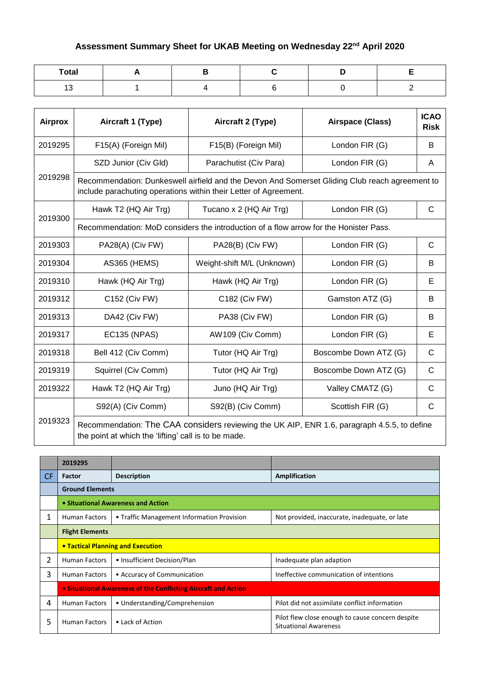## **Assessment Summary Sheet for UKAB Meeting on Wednesday 22nd April 2020**

| Total                          |  |  |  |
|--------------------------------|--|--|--|
| $\overline{\phantom{a}}$<br>יי |  |  |  |

| <b>Airprox</b> | Aircraft 1 (Type)                                                                                                                                   | Aircraft 2 (Type)                                                                                                                                                  | Airspace (Class)      | <b>ICAO</b><br><b>Risk</b> |  |  |
|----------------|-----------------------------------------------------------------------------------------------------------------------------------------------------|--------------------------------------------------------------------------------------------------------------------------------------------------------------------|-----------------------|----------------------------|--|--|
| 2019295        | F15(A) (Foreign Mil)                                                                                                                                | F15(B) (Foreign Mil)                                                                                                                                               | London FIR (G)        | B                          |  |  |
|                | SZD Junior (Civ Gld)                                                                                                                                | Parachutist (Civ Para)                                                                                                                                             | London FIR (G)        | A                          |  |  |
| 2019298        |                                                                                                                                                     | Recommendation: Dunkeswell airfield and the Devon And Somerset Gliding Club reach agreement to<br>include parachuting operations within their Letter of Agreement. |                       |                            |  |  |
| 2019300        | Hawk T2 (HQ Air Trg)                                                                                                                                | Tucano x 2 (HQ Air Trg)                                                                                                                                            | London FIR (G)        | $\mathsf{C}$               |  |  |
|                |                                                                                                                                                     | Recommendation: MoD considers the introduction of a flow arrow for the Honister Pass.                                                                              |                       |                            |  |  |
| 2019303        | PA28(A) (Civ FW)                                                                                                                                    | PA28(B) (Civ FW)                                                                                                                                                   | London FIR (G)        | $\mathsf{C}$               |  |  |
| 2019304        | <b>AS365 (HEMS)</b>                                                                                                                                 | Weight-shift M/L (Unknown)                                                                                                                                         | London FIR (G)        | B                          |  |  |
| 2019310        | Hawk (HQ Air Trg)                                                                                                                                   | Hawk (HQ Air Trg)                                                                                                                                                  | London FIR (G)        | E                          |  |  |
| 2019312        | C152 (Civ FW)                                                                                                                                       | C182 (Civ FW)                                                                                                                                                      | Gamston ATZ (G)       | B                          |  |  |
| 2019313        | DA42 (Civ FW)                                                                                                                                       | PA38 (Civ FW)                                                                                                                                                      | London FIR (G)        | B                          |  |  |
| 2019317        | <b>EC135 (NPAS)</b>                                                                                                                                 | AW109 (Civ Comm)                                                                                                                                                   | London FIR (G)        | E                          |  |  |
| 2019318        | Bell 412 (Civ Comm)                                                                                                                                 | Tutor (HQ Air Trg)                                                                                                                                                 | Boscombe Down ATZ (G) | $\mathsf{C}$               |  |  |
| 2019319        | Squirrel (Civ Comm)                                                                                                                                 | Tutor (HQ Air Trg)                                                                                                                                                 | Boscombe Down ATZ (G) | $\mathsf{C}$               |  |  |
| 2019322        | Hawk T2 (HQ Air Trg)                                                                                                                                | Juno (HQ Air Trg)                                                                                                                                                  | Valley CMATZ (G)      | $\mathsf{C}$               |  |  |
|                | S92(A) (Civ Comm)                                                                                                                                   | S92(B) (Civ Comm)                                                                                                                                                  | Scottish FIR (G)      | $\mathsf{C}$               |  |  |
| 2019323        | Recommendation: The CAA considers reviewing the UK AIP, ENR 1.6, paragraph 4.5.5, to define<br>the point at which the 'lifting' call is to be made. |                                                                                                                                                                    |                       |                            |  |  |

|           | 2019295                                                        |                                            |                                                                                  |  |
|-----------|----------------------------------------------------------------|--------------------------------------------|----------------------------------------------------------------------------------|--|
| <b>CF</b> | Factor                                                         | <b>Description</b>                         | Amplification                                                                    |  |
|           | <b>Ground Elements</b>                                         |                                            |                                                                                  |  |
|           |                                                                | • Situational Awareness and Action         |                                                                                  |  |
| 1         | <b>Human Factors</b>                                           | • Traffic Management Information Provision | Not provided, inaccurate, inadequate, or late                                    |  |
|           | <b>Flight Elements</b>                                         |                                            |                                                                                  |  |
|           | <b>• Tactical Planning and Execution</b>                       |                                            |                                                                                  |  |
| 2         | <b>Human Factors</b>                                           | • Insufficient Decision/Plan               | Inadequate plan adaption                                                         |  |
| 3         | <b>Human Factors</b>                                           | • Accuracy of Communication                | Ineffective communication of intentions                                          |  |
|           | • Situational Awareness of the Conflicting Aircraft and Action |                                            |                                                                                  |  |
| 4         | <b>Human Factors</b>                                           | • Understanding/Comprehension              | Pilot did not assimilate conflict information                                    |  |
| 5         | <b>Human Factors</b>                                           | • Lack of Action                           | Pilot flew close enough to cause concern despite<br><b>Situational Awareness</b> |  |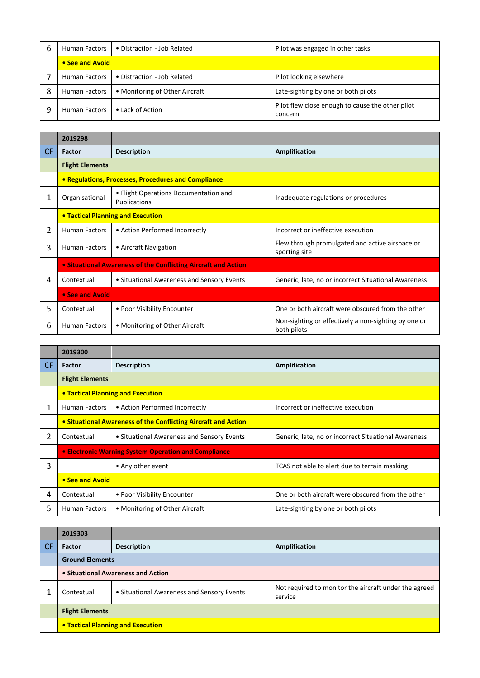| b | Human Factors        | • Distraction - Job Related    | Pilot was engaged in other tasks                            |  |
|---|----------------------|--------------------------------|-------------------------------------------------------------|--|
|   | • See and Avoid      |                                |                                                             |  |
|   | <b>Human Factors</b> | • Distraction - Job Related    | Pilot looking elsewhere                                     |  |
| 8 | Human Factors        | • Monitoring of Other Aircraft | Late-sighting by one or both pilots                         |  |
| 9 | <b>Human Factors</b> | • Lack of Action               | Pilot flew close enough to cause the other pilot<br>concern |  |

|           | 2019298                |                                                                |                                                                     |
|-----------|------------------------|----------------------------------------------------------------|---------------------------------------------------------------------|
| <b>CF</b> | Factor                 | <b>Description</b>                                             | Amplification                                                       |
|           | <b>Flight Elements</b> |                                                                |                                                                     |
|           |                        | • Regulations, Processes, Procedures and Compliance            |                                                                     |
| 1         | Organisational         | • Flight Operations Documentation and<br>Publications          | Inadequate regulations or procedures                                |
|           |                        | <b>• Tactical Planning and Execution</b>                       |                                                                     |
| 2         | <b>Human Factors</b>   | • Action Performed Incorrectly                                 | Incorrect or ineffective execution                                  |
| 3         | <b>Human Factors</b>   | • Aircraft Navigation                                          | Flew through promulgated and active airspace or<br>sporting site    |
|           |                        | • Situational Awareness of the Conflicting Aircraft and Action |                                                                     |
| 4         | Contextual             | • Situational Awareness and Sensory Events                     | Generic, late, no or incorrect Situational Awareness                |
|           | • See and Avoid        |                                                                |                                                                     |
| 5         | Contextual             | • Poor Visibility Encounter                                    | One or both aircraft were obscured from the other                   |
| 6         | <b>Human Factors</b>   | • Monitoring of Other Aircraft                                 | Non-sighting or effectively a non-sighting by one or<br>both pilots |

|           | 2019300                                                        |                                                      |                                                      |  |
|-----------|----------------------------------------------------------------|------------------------------------------------------|------------------------------------------------------|--|
| <b>CF</b> | <b>Factor</b>                                                  | <b>Description</b>                                   | Amplification                                        |  |
|           | <b>Flight Elements</b>                                         |                                                      |                                                      |  |
|           |                                                                | <b>• Tactical Planning and Execution</b>             |                                                      |  |
|           | <b>Human Factors</b>                                           | • Action Performed Incorrectly                       | Incorrect or ineffective execution                   |  |
|           | • Situational Awareness of the Conflicting Aircraft and Action |                                                      |                                                      |  |
| 2         | Contextual                                                     | • Situational Awareness and Sensory Events           | Generic, late, no or incorrect Situational Awareness |  |
|           |                                                                | • Electronic Warning System Operation and Compliance |                                                      |  |
| 3         |                                                                | • Any other event                                    | TCAS not able to alert due to terrain masking        |  |
|           | • See and Avoid                                                |                                                      |                                                      |  |
| 4         | Contextual                                                     | • Poor Visibility Encounter                          | One or both aircraft were obscured from the other    |  |
| 5         | <b>Human Factors</b>                                           | • Monitoring of Other Aircraft                       | Late-sighting by one or both pilots                  |  |

|     | 2019303                            |                                            |                                                                  |  |  |
|-----|------------------------------------|--------------------------------------------|------------------------------------------------------------------|--|--|
| -CF | Factor                             | <b>Description</b>                         | Amplification                                                    |  |  |
|     | <b>Ground Elements</b>             |                                            |                                                                  |  |  |
|     | • Situational Awareness and Action |                                            |                                                                  |  |  |
|     | Contextual                         | • Situational Awareness and Sensory Events | Not required to monitor the aircraft under the agreed<br>service |  |  |
|     | <b>Flight Elements</b>             |                                            |                                                                  |  |  |
|     | • Tactical Planning and Execution  |                                            |                                                                  |  |  |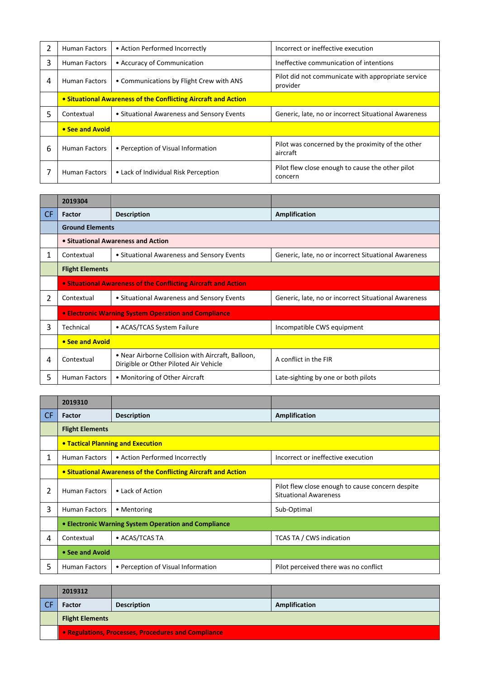| 2 | <b>Human Factors</b>                                           | • Action Performed Incorrectly             | Incorrect or ineffective execution                             |
|---|----------------------------------------------------------------|--------------------------------------------|----------------------------------------------------------------|
| 3 | <b>Human Factors</b>                                           | • Accuracy of Communication                | Ineffective communication of intentions                        |
| 4 | <b>Human Factors</b>                                           | • Communications by Flight Crew with ANS   | Pilot did not communicate with appropriate service<br>provider |
|   | • Situational Awareness of the Conflicting Aircraft and Action |                                            |                                                                |
| 5 | Contextual                                                     | • Situational Awareness and Sensory Events | Generic, late, no or incorrect Situational Awareness           |
|   | • See and Avoid                                                |                                            |                                                                |
| 6 | <b>Human Factors</b>                                           | • Perception of Visual Information         | Pilot was concerned by the proximity of the other<br>aircraft  |
|   | <b>Human Factors</b>                                           | • Lack of Individual Risk Perception       | Pilot flew close enough to cause the other pilot<br>concern    |

|           | 2019304                                                               |                                                                                             |                                                      |  |
|-----------|-----------------------------------------------------------------------|---------------------------------------------------------------------------------------------|------------------------------------------------------|--|
| <b>CF</b> | Factor                                                                | <b>Description</b>                                                                          | Amplification                                        |  |
|           | <b>Ground Elements</b>                                                |                                                                                             |                                                      |  |
|           |                                                                       | • Situational Awareness and Action                                                          |                                                      |  |
| 1         | Contextual                                                            | • Situational Awareness and Sensory Events                                                  | Generic, late, no or incorrect Situational Awareness |  |
|           | <b>Flight Elements</b>                                                |                                                                                             |                                                      |  |
|           | <b>• Situational Awareness of the Conflicting Aircraft and Action</b> |                                                                                             |                                                      |  |
| 2         | Contextual                                                            | • Situational Awareness and Sensory Events                                                  | Generic, late, no or incorrect Situational Awareness |  |
|           |                                                                       | • Electronic Warning System Operation and Compliance                                        |                                                      |  |
| 3         | Technical                                                             | • ACAS/TCAS System Failure                                                                  | Incompatible CWS equipment                           |  |
|           | • See and Avoid                                                       |                                                                                             |                                                      |  |
| 4         | Contextual                                                            | • Near Airborne Collision with Aircraft, Balloon,<br>Dirigible or Other Piloted Air Vehicle | A conflict in the FIR                                |  |
| 5         | <b>Human Factors</b>                                                  | • Monitoring of Other Aircraft                                                              | Late-sighting by one or both pilots                  |  |

|           | 2019310                                                        |                                                      |                                                                                  |
|-----------|----------------------------------------------------------------|------------------------------------------------------|----------------------------------------------------------------------------------|
| <b>CF</b> | Factor                                                         | <b>Description</b>                                   | Amplification                                                                    |
|           | <b>Flight Elements</b>                                         |                                                      |                                                                                  |
|           |                                                                | <b>• Tactical Planning and Execution</b>             |                                                                                  |
| 1         | <b>Human Factors</b>                                           | • Action Performed Incorrectly                       | Incorrect or ineffective execution                                               |
|           | • Situational Awareness of the Conflicting Aircraft and Action |                                                      |                                                                                  |
| 2         | <b>Human Factors</b>                                           | • Lack of Action                                     | Pilot flew close enough to cause concern despite<br><b>Situational Awareness</b> |
| 3         | <b>Human Factors</b>                                           | • Mentoring                                          | Sub-Optimal                                                                      |
|           |                                                                | • Electronic Warning System Operation and Compliance |                                                                                  |
| 4         | Contextual                                                     | • ACAS/TCAS TA                                       | TCAS TA / CWS indication                                                         |
|           | • See and Avoid                                                |                                                      |                                                                                  |
| 5         | <b>Human Factors</b>                                           | • Perception of Visual Information                   | Pilot perceived there was no conflict                                            |

| 2019312                                             |                    |               |
|-----------------------------------------------------|--------------------|---------------|
| Factor                                              | <b>Description</b> | Amplification |
| <b>Flight Elements</b>                              |                    |               |
| • Regulations, Processes, Procedures and Compliance |                    |               |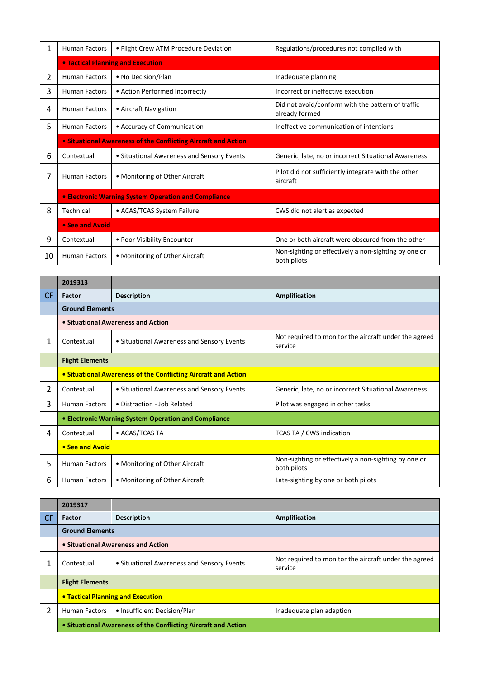| 1  | <b>Human Factors</b> | • Flight Crew ATM Procedure Deviation                          | Regulations/procedures not complied with                            |  |
|----|----------------------|----------------------------------------------------------------|---------------------------------------------------------------------|--|
|    |                      | <b>• Tactical Planning and Execution</b>                       |                                                                     |  |
| 2  | <b>Human Factors</b> | • No Decision/Plan                                             | Inadequate planning                                                 |  |
| 3  | <b>Human Factors</b> | • Action Performed Incorrectly                                 | Incorrect or ineffective execution                                  |  |
| 4  | <b>Human Factors</b> | • Aircraft Navigation                                          | Did not avoid/conform with the pattern of traffic<br>already formed |  |
| 5  | <b>Human Factors</b> | • Accuracy of Communication                                    | Ineffective communication of intentions                             |  |
|    |                      | • Situational Awareness of the Conflicting Aircraft and Action |                                                                     |  |
| 6  | Contextual           | • Situational Awareness and Sensory Events                     | Generic, late, no or incorrect Situational Awareness                |  |
| 7  | <b>Human Factors</b> | • Monitoring of Other Aircraft                                 | Pilot did not sufficiently integrate with the other<br>aircraft     |  |
|    |                      | <b>• Electronic Warning System Operation and Compliance</b>    |                                                                     |  |
| 8  | Technical            | • ACAS/TCAS System Failure                                     | CWS did not alert as expected                                       |  |
|    | • See and Avoid      |                                                                |                                                                     |  |
| 9  | Contextual           | • Poor Visibility Encounter                                    | One or both aircraft were obscured from the other                   |  |
| 10 | <b>Human Factors</b> | • Monitoring of Other Aircraft                                 | Non-sighting or effectively a non-sighting by one or<br>both pilots |  |

|           | 2019313                                                        |                                            |                                                                     |
|-----------|----------------------------------------------------------------|--------------------------------------------|---------------------------------------------------------------------|
| <b>CF</b> | <b>Factor</b>                                                  | <b>Description</b>                         | <b>Amplification</b>                                                |
|           | <b>Ground Elements</b>                                         |                                            |                                                                     |
|           |                                                                | • Situational Awareness and Action         |                                                                     |
| 1         | Contextual                                                     | • Situational Awareness and Sensory Events | Not required to monitor the aircraft under the agreed<br>service    |
|           | <b>Flight Elements</b>                                         |                                            |                                                                     |
|           | • Situational Awareness of the Conflicting Aircraft and Action |                                            |                                                                     |
| 2         | Contextual                                                     | • Situational Awareness and Sensory Events | Generic, late, no or incorrect Situational Awareness                |
| 3         | <b>Human Factors</b>                                           | • Distraction - Job Related                | Pilot was engaged in other tasks                                    |
|           | • Electronic Warning System Operation and Compliance           |                                            |                                                                     |
| 4         | Contextual                                                     | • ACAS/TCAS TA                             | TCAS TA / CWS indication                                            |
|           | • See and Avoid                                                |                                            |                                                                     |
| 5         | <b>Human Factors</b>                                           | • Monitoring of Other Aircraft             | Non-sighting or effectively a non-sighting by one or<br>both pilots |
| 6         | <b>Human Factors</b>                                           | • Monitoring of Other Aircraft             | Late-sighting by one or both pilots                                 |

|           | 2019317                                                        |                                            |                                                                  |
|-----------|----------------------------------------------------------------|--------------------------------------------|------------------------------------------------------------------|
| <b>CF</b> | <b>Factor</b>                                                  | <b>Description</b>                         | Amplification                                                    |
|           | <b>Ground Elements</b>                                         |                                            |                                                                  |
|           | • Situational Awareness and Action                             |                                            |                                                                  |
|           | Contextual                                                     | • Situational Awareness and Sensory Events | Not required to monitor the aircraft under the agreed<br>service |
|           | <b>Flight Elements</b>                                         |                                            |                                                                  |
|           | • Tactical Planning and Execution                              |                                            |                                                                  |
| 2         | <b>Human Factors</b>                                           | • Insufficient Decision/Plan               | Inadequate plan adaption                                         |
|           | • Situational Awareness of the Conflicting Aircraft and Action |                                            |                                                                  |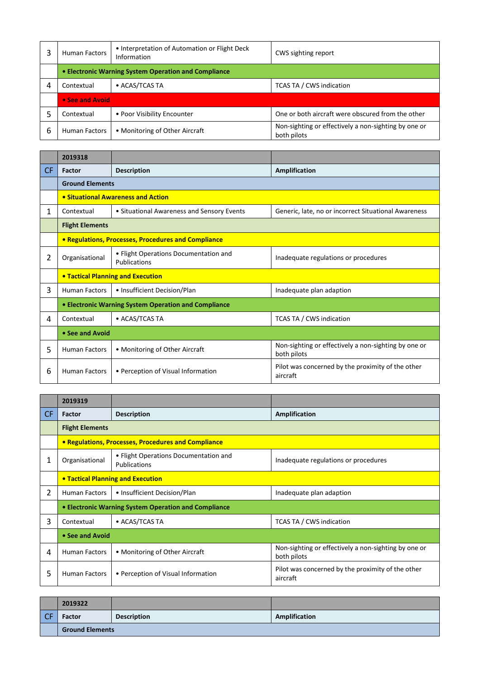|   | <b>Human Factors</b>                                 | • Interpretation of Automation or Flight Deck<br>Information | CWS sighting report                                                 |
|---|------------------------------------------------------|--------------------------------------------------------------|---------------------------------------------------------------------|
|   | • Electronic Warning System Operation and Compliance |                                                              |                                                                     |
| 4 | Contextual                                           | • ACAS/TCAS TA                                               | TCAS TA / CWS indication                                            |
|   | • See and Avoid                                      |                                                              |                                                                     |
|   | Contextual                                           | • Poor Visibility Encounter                                  | One or both aircraft were obscured from the other                   |
| 6 | <b>Human Factors</b>                                 | • Monitoring of Other Aircraft                               | Non-sighting or effectively a non-sighting by one or<br>both pilots |

|           | 2019318                                              |                                                       |                                                                     |  |
|-----------|------------------------------------------------------|-------------------------------------------------------|---------------------------------------------------------------------|--|
| <b>CF</b> | Factor                                               | <b>Description</b>                                    | <b>Amplification</b>                                                |  |
|           | <b>Ground Elements</b>                               |                                                       |                                                                     |  |
|           |                                                      | • Situational Awareness and Action                    |                                                                     |  |
| 1         | Contextual                                           | • Situational Awareness and Sensory Events            | Generic, late, no or incorrect Situational Awareness                |  |
|           | <b>Flight Elements</b>                               |                                                       |                                                                     |  |
|           |                                                      | • Regulations, Processes, Procedures and Compliance   |                                                                     |  |
| 2         | Organisational                                       | • Flight Operations Documentation and<br>Publications | Inadequate regulations or procedures                                |  |
|           | <b>• Tactical Planning and Execution</b>             |                                                       |                                                                     |  |
| 3         | <b>Human Factors</b>                                 | • Insufficient Decision/Plan                          | Inadequate plan adaption                                            |  |
|           | • Electronic Warning System Operation and Compliance |                                                       |                                                                     |  |
| 4         | Contextual                                           | • ACAS/TCAS TA                                        | TCAS TA / CWS indication                                            |  |
|           | • See and Avoid                                      |                                                       |                                                                     |  |
| 5         | <b>Human Factors</b>                                 | • Monitoring of Other Aircraft                        | Non-sighting or effectively a non-sighting by one or<br>both pilots |  |
| 6         | <b>Human Factors</b>                                 | • Perception of Visual Information                    | Pilot was concerned by the proximity of the other<br>aircraft       |  |

|                | 2019319                                              |                                                       |                                                                     |
|----------------|------------------------------------------------------|-------------------------------------------------------|---------------------------------------------------------------------|
| <b>CF</b>      | Factor                                               | <b>Description</b>                                    | Amplification                                                       |
|                | <b>Flight Elements</b>                               |                                                       |                                                                     |
|                |                                                      | • Regulations, Processes, Procedures and Compliance   |                                                                     |
| 1              | Organisational                                       | • Flight Operations Documentation and<br>Publications | Inadequate regulations or procedures                                |
|                | <b>• Tactical Planning and Execution</b>             |                                                       |                                                                     |
| $\overline{2}$ | <b>Human Factors</b>                                 | • Insufficient Decision/Plan                          | Inadequate plan adaption                                            |
|                | • Electronic Warning System Operation and Compliance |                                                       |                                                                     |
| 3              | Contextual                                           | • ACAS/TCAS TA                                        | <b>TCAS TA / CWS indication</b>                                     |
|                | • See and Avoid                                      |                                                       |                                                                     |
| 4              | <b>Human Factors</b>                                 | • Monitoring of Other Aircraft                        | Non-sighting or effectively a non-sighting by one or<br>both pilots |
| 5              | <b>Human Factors</b>                                 | • Perception of Visual Information                    | Pilot was concerned by the proximity of the other<br>aircraft       |

|           | 2019322                |                    |               |
|-----------|------------------------|--------------------|---------------|
| <b>CE</b> | Factor                 | <b>Description</b> | Amplification |
|           | <b>Ground Elements</b> |                    |               |